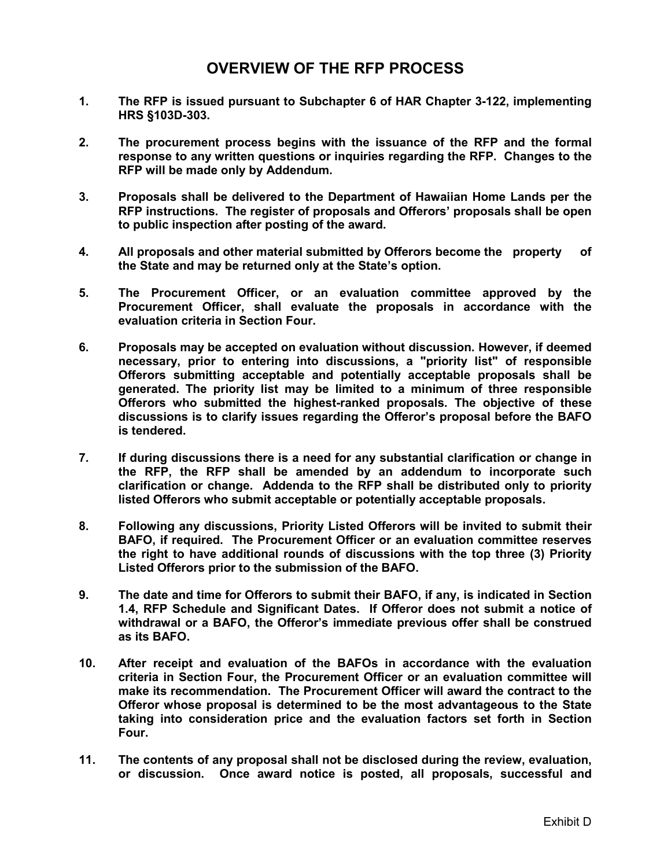- **1. The RFP is issued pursuant to Subchapter 6 of HAR Chapter 3-122, implementing HRS §103D-303.**
- **2. The procurement process begins with the issuance of the RFP and the formal response to any written questions or inquiries regarding the RFP. Changes to the RFP will be made only by Addendum.**
- **3. Proposals shall be delivered to the Department of Hawaiian Home Lands per the RFP instructions. The register of proposals and Offerors' proposals shall be open to public inspection after posting of the award.**
- **4. All proposals and other material submitted by Offerors become the property of the State and may be returned only at the State's option.**
- **5. The Procurement Officer, or an evaluation committee approved by the Procurement Officer, shall evaluate the proposals in accordance with the evaluation criteria in Section Four.**
- **6. Proposals may be accepted on evaluation without discussion. However, if deemed necessary, prior to entering into discussions, a "priority list" of responsible Offerors submitting acceptable and potentially acceptable proposals shall be generated. The priority list may be limited to a minimum of three responsible Offerors who submitted the highest-ranked proposals. The objective of these discussions is to clarify issues regarding the Offeror's proposal before the BAFO is tendered.**
- **7. If during discussions there is a need for any substantial clarification or change in the RFP, the RFP shall be amended by an addendum to incorporate such clarification or change. Addenda to the RFP shall be distributed only to priority listed Offerors who submit acceptable or potentially acceptable proposals.**
- **8. Following any discussions, Priority Listed Offerors will be invited to submit their BAFO, if required. The Procurement Officer or an evaluation committee reserves the right to have additional rounds of discussions with the top three (3) Priority Listed Offerors prior to the submission of the BAFO.**
- **9. The date and time for Offerors to submit their BAFO, if any, is indicated in Section 1.4, RFP Schedule and Significant Dates. If Offeror does not submit a notice of withdrawal or a BAFO, the Offeror's immediate previous offer shall be construed as its BAFO.**
- **10. After receipt and evaluation of the BAFOs in accordance with the evaluation criteria in Section Four, the Procurement Officer or an evaluation committee will make its recommendation. The Procurement Officer will award the contract to the Offeror whose proposal is determined to be the most advantageous to the State taking into consideration price and the evaluation factors set forth in Section Four.**
- **11. The contents of any proposal shall not be disclosed during the review, evaluation, or discussion. Once award notice is posted, all proposals, successful and**